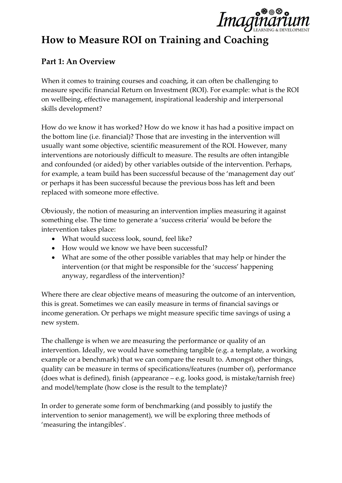

# **How to Measure ROI on Training and Coaching**

## **Part 1: An Overview**

When it comes to training courses and coaching, it can often be challenging to measure specific financial Return on Investment (ROI). For example: what is the ROI on wellbeing, effective management, inspirational leadership and interpersonal skills development?

How do we know it has worked? How do we know it has had a positive impact on the bottom line (i.e. financial)? Those that are investing in the intervention will usually want some objective, scientific measurement of the ROI. However, many interventions are notoriously difficult to measure. The results are often intangible and confounded (or aided) by other variables outside of the intervention. Perhaps, for example, a team build has been successful because of the 'management day out' or perhaps it has been successful because the previous boss has left and been replaced with someone more effective.

Obviously, the notion of measuring an intervention implies measuring it against something else. The time to generate a 'success criteria' would be before the intervention takes place:

- What would success look, sound, feel like?
- How would we know we have been successful?
- What are some of the other possible variables that may help or hinder the intervention (or that might be responsible for the 'success' happening anyway, regardless of the intervention)?

Where there are clear objective means of measuring the outcome of an intervention, this is great. Sometimes we can easily measure in terms of financial savings or income generation. Or perhaps we might measure specific time savings of using a new system.

The challenge is when we are measuring the performance or quality of an intervention. Ideally, we would have something tangible (e.g. a template, a working example or a benchmark) that we can compare the result to. Amongst other things, quality can be measure in terms of specifications/features (number of), performance (does what is defined), finish (appearance – e.g. looks good, is mistake/tarnish free) and model/template (how close is the result to the template)?

In order to generate some form of benchmarking (and possibly to justify the intervention to senior management), we will be exploring three methods of 'measuring the intangibles'.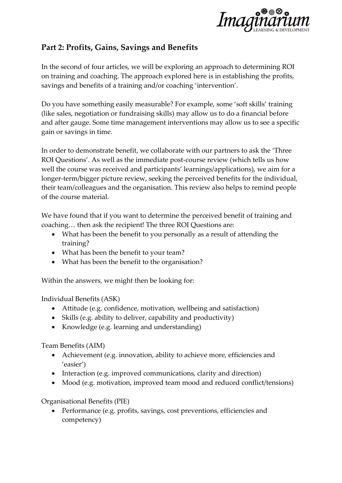

### **Part 2: Profits, Gains, Savings and Benefits**

In the second of four articles, we will be exploring an approach to determining ROI on training and coaching. The approach explored here is in establishing the profits, savings and benefits of a training and/or coaching 'intervention'.

Do you have something easily measurable? For example, some 'soft skills' training (like sales, negotiation or fundraising skills) may allow us to do a financial before and after gauge. Some time management interventions may allow us to see a specific gain or savings in time.

In order to demonstrate benefit, we collaborate with our partners to ask the 'Three ROI Questions'. As well as the immediate post-course review (which tells us how well the course was received and participants' learnings/applications), we aim for a longer-term/bigger picture review, seeking the perceived benefits for the individual, their team/colleagues and the organisation. This review also helps to remind people of the course material.

We have found that if you want to determine the perceived benefit of training and coaching… then ask the recipient! The three ROI Questions are:

- What has been the benefit to you personally as a result of attending the training?
- What has been the benefit to your team?
- What has been the benefit to the organisation?

Within the answers, we might then be looking for:

Individual Benefits (ASK)

- Attitude (e.g. confidence, motivation, wellbeing and satisfaction)
- Skills (e.g. ability to deliver, capability and productivity)
- Knowledge (e.g. learning and understanding)

Team Benefits (AIM)

- Achievement (e.g. innovation, ability to achieve more, efficiencies and 'easier')
- Interaction (e.g. improved communications, clarity and direction)
- Mood (e.g. motivation, improved team mood and reduced conflict/tensions)

Organisational Benefits (PIE)

• Performance (e.g. profits, savings, cost preventions, efficiencies and competency)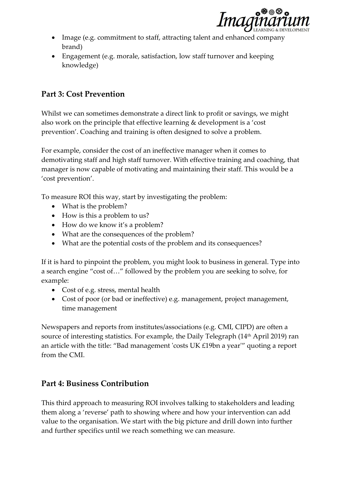

- Image (e.g. commitment to staff, attracting talent and enhanced company brand)
- Engagement (e.g. morale, satisfaction, low staff turnover and keeping knowledge)

#### **Part 3: Cost Prevention**

Whilst we can sometimes demonstrate a direct link to profit or savings, we might also work on the principle that effective learning & development is a 'cost prevention'. Coaching and training is often designed to solve a problem.

For example, consider the cost of an ineffective manager when it comes to demotivating staff and high staff turnover. With effective training and coaching, that manager is now capable of motivating and maintaining their staff. This would be a 'cost prevention'.

To measure ROI this way, start by investigating the problem:

- What is the problem?
- How is this a problem to us?
- How do we know it's a problem?
- What are the consequences of the problem?
- What are the potential costs of the problem and its consequences?

If it is hard to pinpoint the problem, you might look to business in general. Type into a search engine "cost of…" followed by the problem you are seeking to solve, for example:

- Cost of e.g. stress, mental health
- Cost of poor (or bad or ineffective) e.g. management, project management, time management

Newspapers and reports from institutes/associations (e.g. CMI, CIPD) are often a source of interesting statistics. For example, the Daily Telegraph (14<sup>th</sup> April 2019) ran an article with the title: "Bad management 'costs UK £19bn a year'" quoting a report from the CMI.

#### **Part 4: Business Contribution**

This third approach to measuring ROI involves talking to stakeholders and leading them along a 'reverse' path to showing where and how your intervention can add value to the organisation. We start with the big picture and drill down into further and further specifics until we reach something we can measure.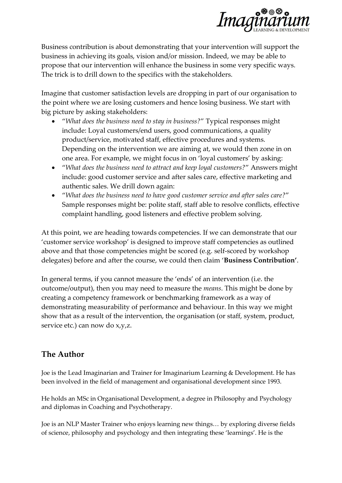

Business contribution is about demonstrating that your intervention will support the business in achieving its goals, vision and/or mission. Indeed, we may be able to propose that our intervention will enhance the business in some very specific ways. The trick is to drill down to the specifics with the stakeholders.

Imagine that customer satisfaction levels are dropping in part of our organisation to the point where we are losing customers and hence losing business. We start with big picture by asking stakeholders:

- "*What does the business need to stay in business?*" Typical responses might include: Loyal customers/end users, good communications, a quality product/service, motivated staff, effective procedures and systems. Depending on the intervention we are aiming at, we would then zone in on one area. For example, we might focus in on 'loyal customers' by asking:
- "*What does the business need to attract and keep loyal customers?*" Answers might include: good customer service and after sales care, effective marketing and authentic sales. We drill down again:
- "*What does the business need to have good customer service and after sales care?*" Sample responses might be: polite staff, staff able to resolve conflicts, effective complaint handling, good listeners and effective problem solving.

At this point, we are heading towards competencies. If we can demonstrate that our 'customer service workshop' is designed to improve staff competencies as outlined above and that those competencies might be scored (e.g. self-scored by workshop delegates) before and after the course, we could then claim '**Business Contribution'**.

In general terms, if you cannot measure the 'ends' of an intervention (i.e. the outcome/output), then you may need to measure the *means*. This might be done by creating a competency framework or benchmarking framework as a way of demonstrating measurability of performance and behaviour. In this way we might show that as a result of the intervention, the organisation (or staff, system, product, service etc.) can now do x,y,z.

## **The Author**

Joe is the Lead Imaginarian and Trainer for Imaginarium Learning & Development. He has been involved in the field of management and organisational development since 1993.

He holds an MSc in Organisational Development, a degree in Philosophy and Psychology and diplomas in Coaching and Psychotherapy.

Joe is an NLP Master Trainer who enjoys learning new things… by exploring diverse fields of science, philosophy and psychology and then integrating these 'learnings'. He is the